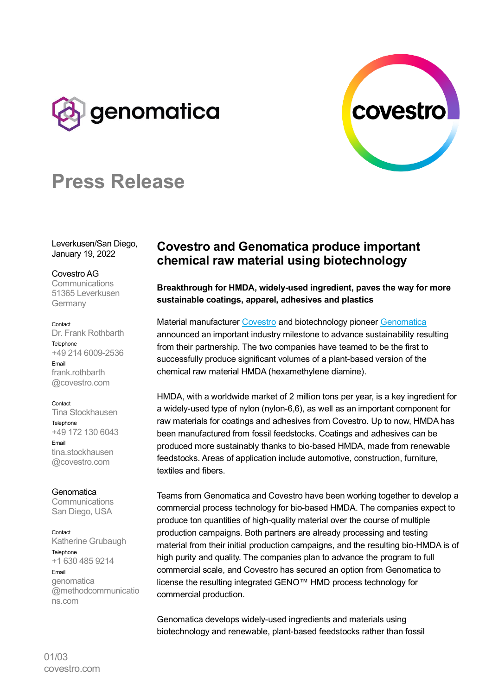



# **Press Release**

Leverkusen/San Diego, January 19, 2022

## Covestro AG

**Communications** 51365 Leverkusen Germany

#### Contact

Dr. Frank Rothbarth **Telenhone** +49 214 6009-2536 Email frank.rothbarth @covestro.com

#### Contact

Tina Stockhausen Telephone +49 172 130 6043 Email tina.stockhausen @covestro.com

**Genomatica** 

**Communications** San Diego, USA

Contact

ns.com

Katherine Grubaugh **Telephone** +1 630 485 9214 Email genomatica @methodcommunicatio

# **Covestro and Genomatica produce important chemical raw material using biotechnology**

**Breakthrough for HMDA, widely-used ingredient, paves the way for more sustainable coatings, apparel, adhesives and plastics**

Material manufacturer [Covestro](https://www.covestro.com/) and biotechnology pioneer [Genomatica](https://www.genomatica.com/) announced an important industry milestone to advance sustainability resulting from their partnership. The two companies have teamed to be the first to successfully produce significant volumes of a plant-based version of the chemical raw material HMDA (hexamethylene diamine).

HMDA, with a worldwide market of 2 million tons per year, is a key ingredient for a widely-used type of nylon (nylon-6,6), as well as an important component for raw materials for coatings and adhesives from Covestro. Up to now, HMDA has been manufactured from fossil feedstocks. Coatings and adhesives can be produced more sustainably thanks to bio-based HMDA, made from renewable feedstocks. Areas of application include automotive, construction, furniture, textiles and fibers.

Teams from Genomatica and Covestro have been working together to develop a commercial process technology for bio-based HMDA. The companies expect to produce ton quantities of high-quality material over the course of multiple production campaigns. Both partners are already processing and testing material from their initial production campaigns, and the resulting bio-HMDA is of high purity and quality. The companies plan to advance the program to full commercial scale, and Covestro has secured an option from Genomatica to license the resulting integrated GENO™ HMD process technology for commercial production.

Genomatica develops widely-used ingredients and materials using biotechnology and renewable, plant-based feedstocks rather than fossil

01/03 covestro.com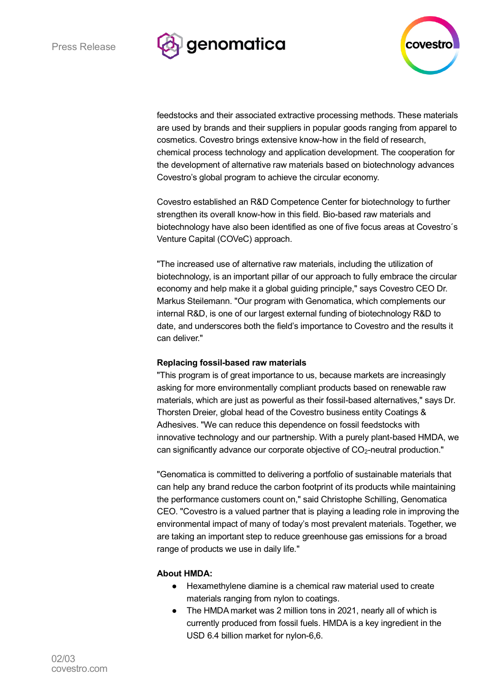



feedstocks and their associated extractive processing methods. These materials are used by brands and their suppliers in popular goods ranging from apparel to cosmetics. Covestro brings extensive know-how in the field of research, chemical process technology and application development. The cooperation for the development of alternative raw materials based on biotechnology advances Covestro's global program to achieve the circular economy.

Covestro established an R&D Competence Center for biotechnology to further strengthen its overall know-how in this field. Bio-based raw materials and biotechnology have also been identified as one of five focus areas at Covestro´s Venture Capital (COVeC) approach.

"The increased use of alternative raw materials, including the utilization of biotechnology, is an important pillar of our approach to fully embrace the circular economy and help make it a global guiding principle," says Covestro CEO Dr. Markus Steilemann. "Our program with Genomatica, which complements our internal R&D, is one of our largest external funding of biotechnology R&D to date, and underscores both the field's importance to Covestro and the results it can deliver."

### **Replacing fossil-based raw materials**

"This program is of great importance to us, because markets are increasingly asking for more environmentally compliant products based on renewable raw materials, which are just as powerful as their fossil-based alternatives," says Dr. Thorsten Dreier, global head of the Covestro business entity Coatings & Adhesives. "We can reduce this dependence on fossil feedstocks with innovative technology and our partnership. With a purely plant-based HMDA, we can significantly advance our corporate objective of CO<sub>2</sub>-neutral production."

"Genomatica is committed to delivering a portfolio of sustainable materials that can help any brand reduce the carbon footprint of its products while maintaining the performance customers count on," said Christophe Schilling, Genomatica CEO. "Covestro is a valued partner that is playing a leading role in improving the environmental impact of many of today's most prevalent materials. Together, we are taking an important step to reduce greenhouse gas emissions for a broad range of products we use in daily life."

# **About HMDA:**

- Hexamethylene diamine is a chemical raw material used to create materials ranging from nylon to coatings.
- The HMDA market was 2 million tons in 2021, nearly all of which is currently produced from fossil fuels. HMDA is a key ingredient in the USD 6.4 billion market for nylon-6,6.